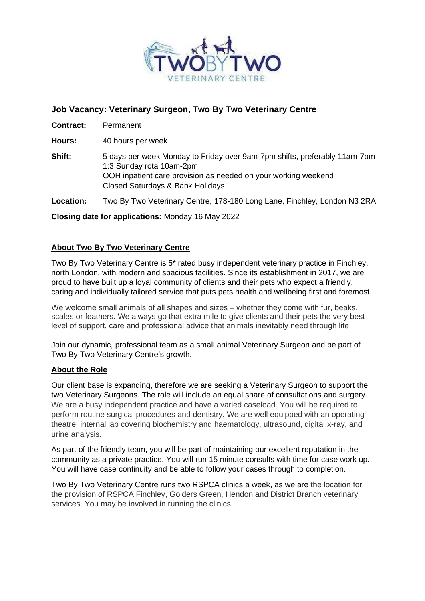

# **Job Vacancy: Veterinary Surgeon, Two By Two Veterinary Centre**

**Contract:** Permanent

**Hours:** 40 hours per week

**Shift:** 5 days per week Monday to Friday over 9am-7pm shifts, preferably 11am-7pm 1:3 Sunday rota 10am-2pm OOH inpatient care provision as needed on your working weekend Closed Saturdays & Bank Holidays

**Location:** Two By Two Veterinary Centre, 178-180 Long Lane, Finchley, London N3 2RA

**Closing date for applications:** Monday 16 May 2022

## **About Two By Two Veterinary Centre**

Two By Two Veterinary Centre is 5\* rated busy independent veterinary practice in Finchley, north London, with modern and spacious facilities. Since its establishment in 2017, we are proud to have built up a loyal community of clients and their pets who expect a friendly, caring and individually tailored service that puts pets health and wellbeing first and foremost.

We welcome small animals of all shapes and sizes – whether they come with fur, beaks, scales or feathers. We always go that extra mile to give clients and their pets the very best level of support, care and professional advice that animals inevitably need through life.

Join our dynamic, professional team as a small animal Veterinary Surgeon and be part of Two By Two Veterinary Centre's growth.

#### **About the Role**

Our client base is expanding, therefore we are seeking a Veterinary Surgeon to support the two Veterinary Surgeons. The role will include an equal share of consultations and surgery. We are a busy independent practice and have a varied caseload. You will be required to perform routine surgical procedures and dentistry. We are well equipped with an operating theatre, internal lab covering biochemistry and haematology, ultrasound, digital x-ray, and urine analysis.

As part of the friendly team, you will be part of maintaining our excellent reputation in the community as a private practice. You will run 15 minute consults with time for case work up. You will have case continuity and be able to follow your cases through to completion.

Two By Two Veterinary Centre runs two RSPCA clinics a week, as we are the location for the provision of RSPCA Finchley, Golders Green, Hendon and District Branch veterinary services. You may be involved in running the clinics.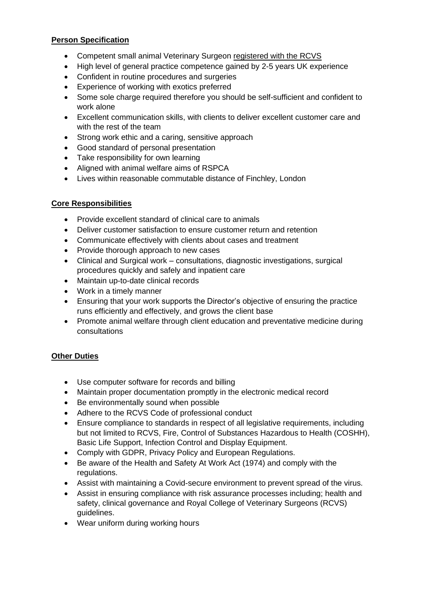## **Person Specification**

- Competent small animal Veterinary Surgeon registered with the RCVS
- High level of general practice competence gained by 2-5 years UK experience
- Confident in routine procedures and surgeries
- Experience of working with exotics preferred
- Some sole charge required therefore you should be self-sufficient and confident to work alone
- Excellent communication skills, with clients to deliver excellent customer care and with the rest of the team
- Strong work ethic and a caring, sensitive approach
- Good standard of personal presentation
- Take responsibility for own learning
- Aligned with animal welfare aims of RSPCA
- Lives within reasonable commutable distance of Finchley, London

#### **Core Responsibilities**

- Provide excellent standard of clinical care to animals
- Deliver customer satisfaction to ensure customer return and retention
- Communicate effectively with clients about cases and treatment
- Provide thorough approach to new cases
- Clinical and Surgical work consultations, diagnostic investigations, surgical procedures quickly and safely and inpatient care
- Maintain up-to-date clinical records
- Work in a timely manner
- Ensuring that your work supports the Director's objective of ensuring the practice runs efficiently and effectively, and grows the client base
- Promote animal welfare through client education and preventative medicine during consultations

## **Other Duties**

- Use computer software for records and billing
- Maintain proper documentation promptly in the electronic medical record
- Be environmentally sound when possible
- Adhere to the RCVS Code of professional conduct
- Ensure compliance to standards in respect of all legislative requirements, including but not limited to RCVS, Fire, Control of Substances Hazardous to Health (COSHH), Basic Life Support, Infection Control and Display Equipment.
- Comply with GDPR, Privacy Policy and European Regulations.
- Be aware of the Health and Safety At Work Act (1974) and comply with the regulations.
- Assist with maintaining a Covid-secure environment to prevent spread of the virus.
- Assist in ensuring compliance with risk assurance processes including; health and safety, clinical governance and Royal College of Veterinary Surgeons (RCVS) guidelines.
- Wear uniform during working hours